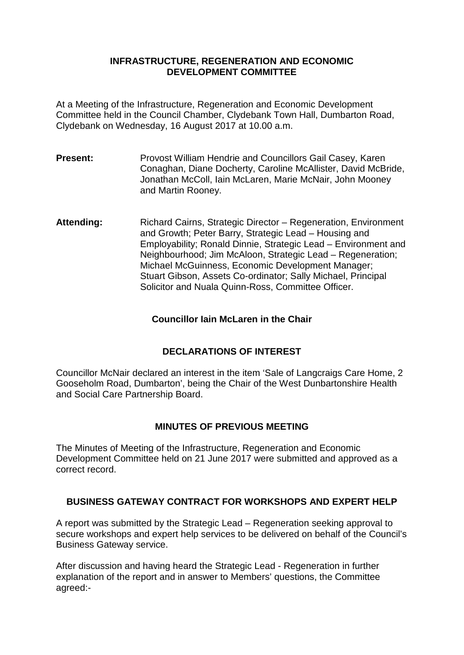#### **INFRASTRUCTURE, REGENERATION AND ECONOMIC DEVELOPMENT COMMITTEE**

At a Meeting of the Infrastructure, Regeneration and Economic Development Committee held in the Council Chamber, Clydebank Town Hall, Dumbarton Road, Clydebank on Wednesday, 16 August 2017 at 10.00 a.m.

- **Present:** Provost William Hendrie and Councillors Gail Casey, Karen Conaghan, Diane Docherty, Caroline McAllister, David McBride, Jonathan McColl, Iain McLaren, Marie McNair, John Mooney and Martin Rooney.
- **Attending:** Richard Cairns, Strategic Director Regeneration, Environment and Growth; Peter Barry, Strategic Lead – Housing and Employability; Ronald Dinnie, Strategic Lead – Environment and Neighbourhood; Jim McAloon, Strategic Lead – Regeneration; Michael McGuinness, Economic Development Manager; Stuart Gibson, Assets Co-ordinator; Sally Michael, Principal Solicitor and Nuala Quinn-Ross, Committee Officer.

### **Councillor Iain McLaren in the Chair**

# **DECLARATIONS OF INTEREST**

Councillor McNair declared an interest in the item 'Sale of Langcraigs Care Home, 2 Gooseholm Road, Dumbarton', being the Chair of the West Dunbartonshire Health and Social Care Partnership Board.

# **MINUTES OF PREVIOUS MEETING**

The Minutes of Meeting of the Infrastructure, Regeneration and Economic Development Committee held on 21 June 2017 were submitted and approved as a correct record.

# **BUSINESS GATEWAY CONTRACT FOR WORKSHOPS AND EXPERT HELP**

A report was submitted by the Strategic Lead – Regeneration seeking approval to secure workshops and expert help services to be delivered on behalf of the Council's Business Gateway service.

After discussion and having heard the Strategic Lead - Regeneration in further explanation of the report and in answer to Members' questions, the Committee agreed:-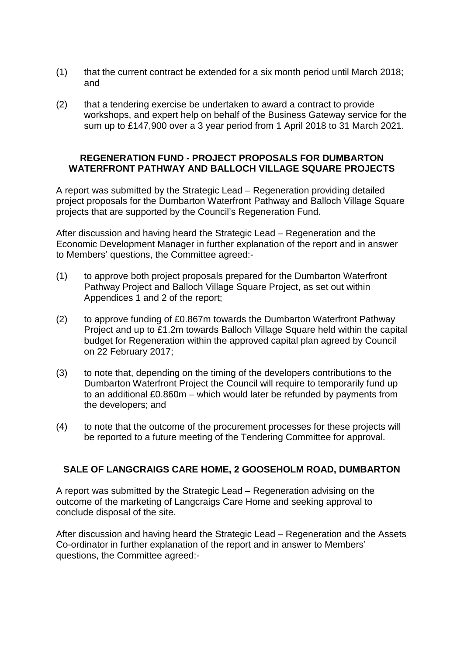- (1) that the current contract be extended for a six month period until March 2018; and
- (2) that a tendering exercise be undertaken to award a contract to provide workshops, and expert help on behalf of the Business Gateway service for the sum up to £147,900 over a 3 year period from 1 April 2018 to 31 March 2021.

#### **REGENERATION FUND - PROJECT PROPOSALS FOR DUMBARTON WATERFRONT PATHWAY AND BALLOCH VILLAGE SQUARE PROJECTS**

A report was submitted by the Strategic Lead – Regeneration providing detailed project proposals for the Dumbarton Waterfront Pathway and Balloch Village Square projects that are supported by the Council's Regeneration Fund.

After discussion and having heard the Strategic Lead – Regeneration and the Economic Development Manager in further explanation of the report and in answer to Members' questions, the Committee agreed:-

- (1) to approve both project proposals prepared for the Dumbarton Waterfront Pathway Project and Balloch Village Square Project, as set out within Appendices 1 and 2 of the report;
- (2) to approve funding of £0.867m towards the Dumbarton Waterfront Pathway Project and up to £1.2m towards Balloch Village Square held within the capital budget for Regeneration within the approved capital plan agreed by Council on 22 February 2017;
- (3) to note that, depending on the timing of the developers contributions to the Dumbarton Waterfront Project the Council will require to temporarily fund up to an additional £0.860m – which would later be refunded by payments from the developers; and
- (4) to note that the outcome of the procurement processes for these projects will be reported to a future meeting of the Tendering Committee for approval.

# **SALE OF LANGCRAIGS CARE HOME, 2 GOOSEHOLM ROAD, DUMBARTON**

A report was submitted by the Strategic Lead – Regeneration advising on the outcome of the marketing of Langcraigs Care Home and seeking approval to conclude disposal of the site.

After discussion and having heard the Strategic Lead – Regeneration and the Assets Co-ordinator in further explanation of the report and in answer to Members' questions, the Committee agreed:-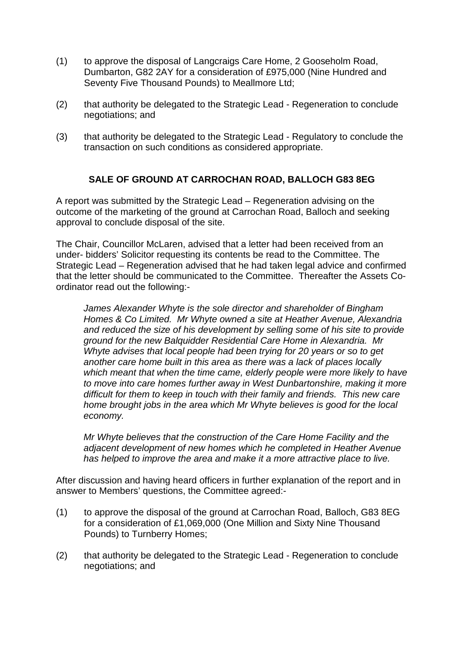- (1) to approve the disposal of Langcraigs Care Home, 2 Gooseholm Road, Dumbarton, G82 2AY for a consideration of £975,000 (Nine Hundred and Seventy Five Thousand Pounds) to Meallmore Ltd;
- (2) that authority be delegated to the Strategic Lead Regeneration to conclude negotiations; and
- (3) that authority be delegated to the Strategic Lead Regulatory to conclude the transaction on such conditions as considered appropriate.

### **SALE OF GROUND AT CARROCHAN ROAD, BALLOCH G83 8EG**

A report was submitted by the Strategic Lead – Regeneration advising on the outcome of the marketing of the ground at Carrochan Road, Balloch and seeking approval to conclude disposal of the site.

The Chair, Councillor McLaren, advised that a letter had been received from an under- bidders' Solicitor requesting its contents be read to the Committee. The Strategic Lead – Regeneration advised that he had taken legal advice and confirmed that the letter should be communicated to the Committee. Thereafter the Assets Coordinator read out the following:-

*James Alexander Whyte is the sole director and shareholder of Bingham Homes & Co Limited. Mr Whyte owned a site at Heather Avenue, Alexandria and reduced the size of his development by selling some of his site to provide ground for the new Balquidder Residential Care Home in Alexandria. Mr Whyte advises that local people had been trying for 20 years or so to get another care home built in this area as there was a lack of places locally which meant that when the time came, elderly people were more likely to have to move into care homes further away in West Dunbartonshire, making it more difficult for them to keep in touch with their family and friends. This new care home brought jobs in the area which Mr Whyte believes is good for the local economy.* 

*Mr Whyte believes that the construction of the Care Home Facility and the adjacent development of new homes which he completed in Heather Avenue has helped to improve the area and make it a more attractive place to live.*

After discussion and having heard officers in further explanation of the report and in answer to Members' questions, the Committee agreed:-

- (1) to approve the disposal of the ground at Carrochan Road, Balloch, G83 8EG for a consideration of £1,069,000 (One Million and Sixty Nine Thousand Pounds) to Turnberry Homes;
- (2) that authority be delegated to the Strategic Lead Regeneration to conclude negotiations; and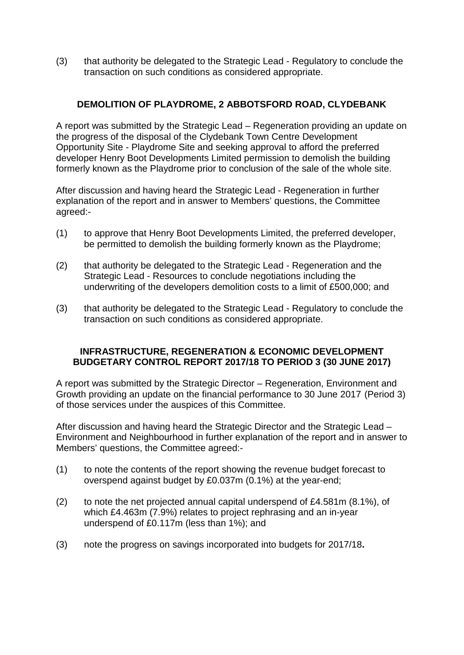(3) that authority be delegated to the Strategic Lead - Regulatory to conclude the transaction on such conditions as considered appropriate.

# **DEMOLITION OF PLAYDROME, 2 ABBOTSFORD ROAD, CLYDEBANK**

A report was submitted by the Strategic Lead – Regeneration providing an update on the progress of the disposal of the Clydebank Town Centre Development Opportunity Site - Playdrome Site and seeking approval to afford the preferred developer Henry Boot Developments Limited permission to demolish the building formerly known as the Playdrome prior to conclusion of the sale of the whole site.

After discussion and having heard the Strategic Lead - Regeneration in further explanation of the report and in answer to Members' questions, the Committee agreed:-

- (1) to approve that Henry Boot Developments Limited, the preferred developer, be permitted to demolish the building formerly known as the Playdrome;
- (2) that authority be delegated to the Strategic Lead Regeneration and the Strategic Lead - Resources to conclude negotiations including the underwriting of the developers demolition costs to a limit of £500,000; and
- (3) that authority be delegated to the Strategic Lead Regulatory to conclude the transaction on such conditions as considered appropriate.

#### **INFRASTRUCTURE, REGENERATION & ECONOMIC DEVELOPMENT BUDGETARY CONTROL REPORT 2017/18 TO PERIOD 3 (30 JUNE 2017)**

A report was submitted by the Strategic Director – Regeneration, Environment and Growth providing an update on the financial performance to 30 June 2017 (Period 3) of those services under the auspices of this Committee.

After discussion and having heard the Strategic Director and the Strategic Lead – Environment and Neighbourhood in further explanation of the report and in answer to Members' questions, the Committee agreed:-

- (1) to note the contents of the report showing the revenue budget forecast to overspend against budget by £0.037m (0.1%) at the year-end;
- (2) to note the net projected annual capital underspend of £4.581m (8.1%), of which £4.463m (7.9%) relates to project rephrasing and an in-year underspend of £0.117m (less than 1%); and
- (3) note the progress on savings incorporated into budgets for 2017/18**.**